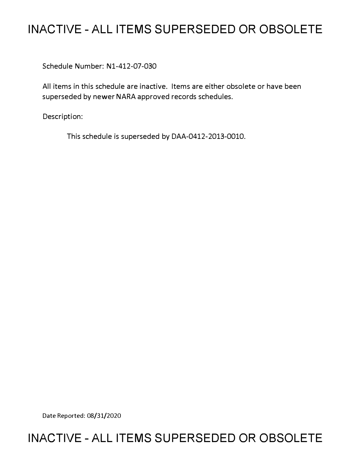## **INACTIVE - ALL ITEMS SUPERSEDED OR OBSOLETE**

Schedule Number: Nl-412-07-030

All items in this schedule are inactive. Items are either obsolete or have been superseded by newer NARA approved records schedules.

Description:

This schedule is superseded by DAA-0412-2013-0010.

Date Reported: 08/31/2020

### **INACTIVE - ALL ITEMS SUPERSEDED OR OBSOLETE**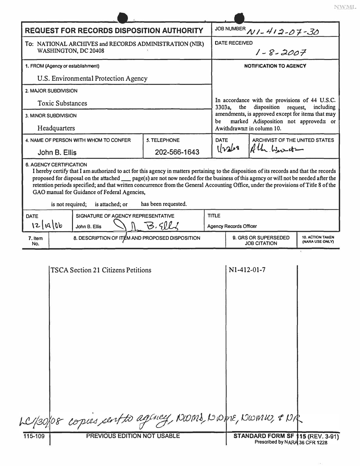| <b>REQUEST FOR RECORDS DISPOSITION AUTHORITY</b>                                                                                                                                                                                                                                                                                                                                                                                                                                                                |                                                 |                     |  | JOB NUMBER N/ - 412-07-30                                                                                                                                                                                                            |  |                                            |  |
|-----------------------------------------------------------------------------------------------------------------------------------------------------------------------------------------------------------------------------------------------------------------------------------------------------------------------------------------------------------------------------------------------------------------------------------------------------------------------------------------------------------------|-------------------------------------------------|---------------------|--|--------------------------------------------------------------------------------------------------------------------------------------------------------------------------------------------------------------------------------------|--|--------------------------------------------|--|
| To: NATIONAL ARCHIVES and RECORDS ADMINISTRATION (NIR)<br>WASHINGTON, DC 20408                                                                                                                                                                                                                                                                                                                                                                                                                                  |                                                 |                     |  | <b>DATE RECEIVED</b><br>$1 - 8 - 2007$                                                                                                                                                                                               |  |                                            |  |
| 1. FROM (Agency or establishment)                                                                                                                                                                                                                                                                                                                                                                                                                                                                               |                                                 |                     |  | NOTIFICATION TO AGENCY                                                                                                                                                                                                               |  |                                            |  |
| U.S. Environmental Protection Agency                                                                                                                                                                                                                                                                                                                                                                                                                                                                            |                                                 |                     |  |                                                                                                                                                                                                                                      |  |                                            |  |
| 2. MAJOR SUBDIVISION                                                                                                                                                                                                                                                                                                                                                                                                                                                                                            |                                                 |                     |  |                                                                                                                                                                                                                                      |  |                                            |  |
| <b>Toxic Substances</b>                                                                                                                                                                                                                                                                                                                                                                                                                                                                                         |                                                 |                     |  | In accordance with the provisions of 44 U.S.C.<br>disposition request,<br>3303a,<br>the<br>including<br>amendments, is approved except for items that may<br>marked Adisposition not approved≅ or<br>be<br>Awithdrawn≅ in column 10. |  |                                            |  |
| <b>3. MINOR SUBDIVISION</b>                                                                                                                                                                                                                                                                                                                                                                                                                                                                                     |                                                 |                     |  |                                                                                                                                                                                                                                      |  |                                            |  |
| Headquarters                                                                                                                                                                                                                                                                                                                                                                                                                                                                                                    |                                                 |                     |  |                                                                                                                                                                                                                                      |  |                                            |  |
|                                                                                                                                                                                                                                                                                                                                                                                                                                                                                                                 | 4. NAME OF PERSON WITH WHOM TO CONFER           | 5. TELEPHONE        |  | <b>DATE</b><br>ARCHIVIST OF THE UNITED STATES<br>1/263<br>Aller Warret -                                                                                                                                                             |  |                                            |  |
| John B. Ellis                                                                                                                                                                                                                                                                                                                                                                                                                                                                                                   |                                                 | 202-566-1643        |  |                                                                                                                                                                                                                                      |  |                                            |  |
| <b>6. AGENCY CERTIFICATION</b><br>I hereby certify that I am authorized to act for this agency in matters pertaining to the disposition of its records and that the records<br>proposed for disposal on the attached <u>page</u> (s) are not now needed for the business of this agency or will not be needed after the<br>retention periods specified; and that written concurrence from the General Accounting Office, under the provisions of Title 8 of the<br>GAO manual for Guidance of Federal Agencies, |                                                 |                     |  |                                                                                                                                                                                                                                      |  |                                            |  |
| is not required;                                                                                                                                                                                                                                                                                                                                                                                                                                                                                                | is attached; or                                 | has been requested. |  |                                                                                                                                                                                                                                      |  |                                            |  |
| <b>DATE</b>                                                                                                                                                                                                                                                                                                                                                                                                                                                                                                     | SIGNATURE OF AGENCY REPRESENTATIVE              |                     |  | <b>TITLE</b>                                                                                                                                                                                                                         |  |                                            |  |
| 12/19/06                                                                                                                                                                                                                                                                                                                                                                                                                                                                                                        | John B. Ellis                                   | B.Sll               |  | <b>Agency Records Officer</b>                                                                                                                                                                                                        |  |                                            |  |
| 7. Item<br>No.                                                                                                                                                                                                                                                                                                                                                                                                                                                                                                  | 8. DESCRIPTION OF ITEM AND PROPOSED DISPOSITION |                     |  | 9. GRS OR SUPERSEDED<br><b>JOB CITATION</b>                                                                                                                                                                                          |  | <b>10. ACTION TAKEN</b><br>(NARA USE ONLY) |  |
|                                                                                                                                                                                                                                                                                                                                                                                                                                                                                                                 | <b>TSCA Section 21 Citizens Petitions</b>       |                     |  | $N1-412-01-7$                                                                                                                                                                                                                        |  |                                            |  |

|         | LC/30/08 copies cent to agency, NOMS, NOME, NOMI, & NR |                     |  |
|---------|--------------------------------------------------------|---------------------|--|
| 115-109 | <b>PREVIOUS EDITION NOT USABLE</b>                     | STANDARD FORM SF 11 |  |

×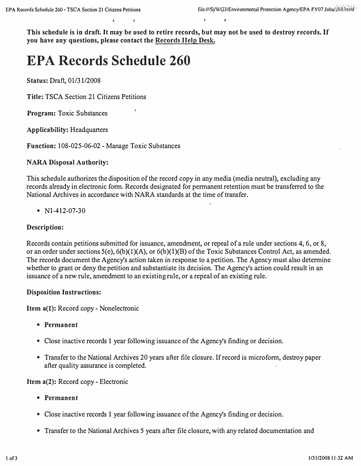**This schedule is in draft. It may be used to retire records, but may not be used to destroy records. If you have any questions, please contact the Records Help Desk.** 

# **EPA Records Schedule 260**

**Status: Draft, 01/31/2008** 

**Title: TSCA Section 21 Citizens Petitions** 

**Program: Toxic Substances** 

**Applicability: Headquarters** 

**Function: I 08-025-06-02 - Manage Toxic Substances** 

#### **NARA Disposal Authority:**

**This schedule authorizes the disposition of the record copy in any media (media neutral), excluding any records already in electronic form. Records designated for permanent retention must be transferred to the National Archives in accordance with NARA standards at the time of transfer.** 

**• Nl-412-07-30** 

#### **Description:**

**Records contain petitions submitted for issuance, amendment, or repeal of a rule under sections 4, 6, or 8, or an order under sections 5(e), 6(b)(l)(A), or 6(b)(l)(B) of the Toxic Substances Control Act, as amended. The records document the Agency's action taken in response to a petition. The Agency must also determine whether to grant or deny the petition and substantiate its decision. The Agency's action could result in an issuance of a new rule, amendment to an existing rule, or a repeal of an existing rule.** 

#### **Disposition Instructions:**

**Item a(l): Record copy- Nonelectronic** 

- **Permanent**
- **Close inactive records 1 year following issuance of the Agency's finding or decision.**
- **Transfer to the National Archives 20 years after file closure. If record is microform, destroy paper after quality assurance is completed.**

**Item a(2): Record copy - Electronic** 

- **Permanent**
- **Close inactive records 1 year following issuance of the Agency's finding or decision.**
- **Transfer to the National Archives** *5* **years after file closure, with any related documentation and**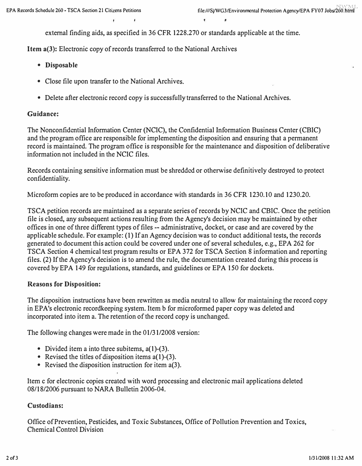**external finding aids, as specified in 36 CFR 1228.270 or standards applicable at the time.** 

**Item a(J): Electronic copy of records transferred to the National Archives** 

- **Disposable**
- **Close file upon transfer to the National Archives.**
- **Delete after electronic record copy is successfully transferred to the National Archives.**

#### **Guidance:**

**The Nonconfidential Information Center (NCIC), the Confidential Information Business Center (CBIC) and the program office are responsible for implementing the disposition and ensuring that a permanent record is maintained. The program office is responsible for the maintenance and disposition of deliberative information not included in the NCIC files.** 

**Records containing sensitive information must be shredded or otherwise definitively destroyed to protect confidentiality.** 

**Micro form copies are to be produced in accordance with standards in 36 CFR 1230.10 and 1230.20.** 

**TSCA petition records are maintained as a separate series ofrecords by NCIC and CBIC. Once the petition file is closed, any subsequent actions resulting from the Agency's decision may be maintained by other offices in one of three different types of files -- administrative, docket, or case and are covered by the applicable schedule. For example: (1) If an Agency decision was to conduct additional tests, the records generated to document this action could be covered under one of several schedules, e.g., EPA 262 for TSCA Section 4 chemical test program results or EPA 372 for TSCA Section 8 information and reporting files. (2) If the Agency's decision is to amend the rule, the documentation created during this process is covered by EPA 149 for regulations, standards, and guidelines or EPA 150 for dockets.** 

#### **Reasons for Disposition:**

**The disposition instructions have been rewritten as media neutral to allow for maintaining the record copy**  in EPA's electronic recordkeeping system. Item b for microformed paper copy was deleted and **incorporated into item a. The retention of the record copy is unchanged.** 

**The following changes were made in the 01/31/2008 version:** 

- Divided item a into three subitems, a(1)-(3).
- Revised the titles of disposition items a(1)-(3).
- **Revised the disposition instruction for item a(3).**

**Item c for electronic copies created with word processing and electronic mail applications deleted 08/18/2006 pursuant to NARA Bulletin 2006-04.** 

#### **Custodians:**

**Office of Prevention, Pesticides, and Toxic Substances, Office of Pollution Prevention and Toxics, Chemical Control Division**